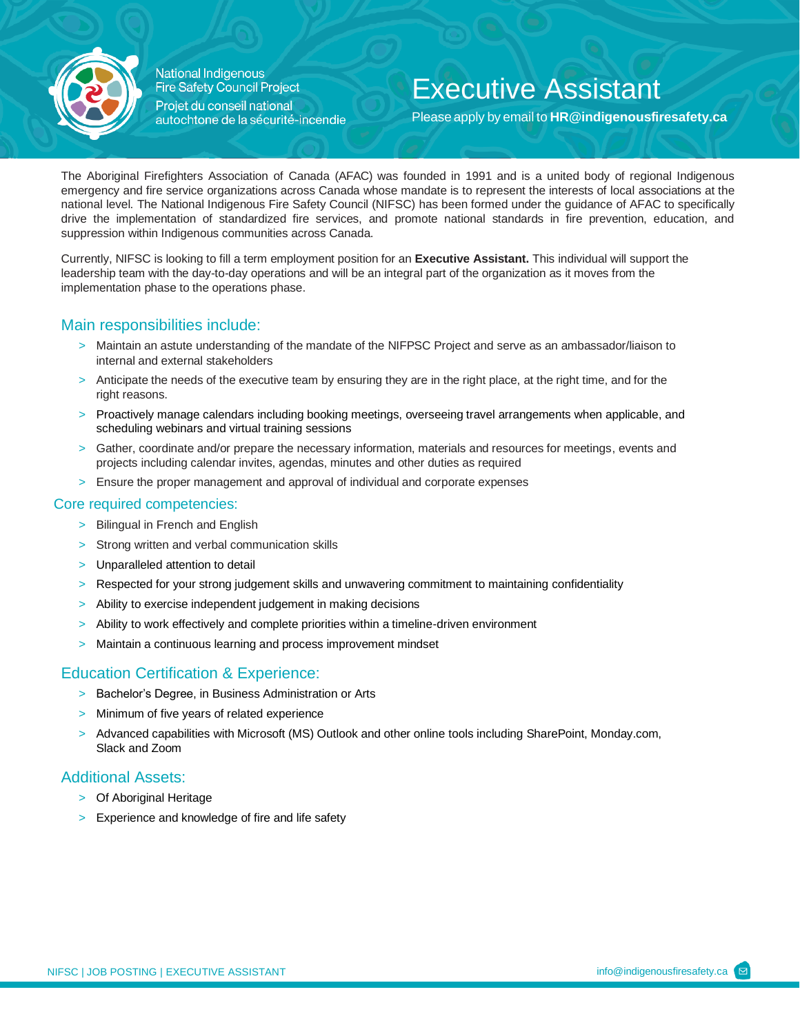

National Indigenous **Fire Safety Council Project** Projet du conseil national autochtone de la sécurité-incendie

## Executive Assistant

Please apply by email to **[HR@indigenousfiresafety.ca](mailto:HR@indigenousfiresafety.ca)**

The Aboriginal Firefighters Association of Canada (AFAC) was founded in 1991 and is a united body of regional Indigenous emergency and fire service organizations across Canada whose mandate is to represent the interests of local associations at the national level. The National Indigenous Fire Safety Council (NIFSC) has been formed under the guidance of AFAC to specifically drive the implementation of standardized fire services, and promote national standards in fire prevention, education, and suppression within Indigenous communities across Canada.

Currently, NIFSC is looking to fill a term employment position for an **Executive Assistant.** This individual will support the leadership team with the day-to-day operations and will be an integral part of the organization as it moves from the implementation phase to the operations phase.

## Main responsibilities include:

- > Maintain an astute understanding of the mandate of the NIFPSC Project and serve as an ambassador/liaison to internal and external stakeholders
- > Anticipate the needs of the executive team by ensuring they are in the right place, at the right time, and for the right reasons.
- > Proactively manage calendars including booking meetings, overseeing travel arrangements when applicable, and scheduling webinars and virtual training sessions
- > Gather, coordinate and/or prepare the necessary information, materials and resources for meetings, events and projects including calendar invites, agendas, minutes and other duties as required
- > Ensure the proper management and approval of individual and corporate expenses

#### Core required competencies:

- > Bilingual in French and English
- > Strong written and verbal communication skills
- > Unparalleled attention to detail
- > Respected for your strong judgement skills and unwavering commitment to maintaining confidentiality
- > Ability to exercise independent judgement in making decisions
- > Ability to work effectively and complete priorities within a timeline-driven environment
- > Maintain a continuous learning and process improvement mindset

## Education Certification & Experience:

- > Bachelor's Degree, in Business Administration or Arts
- > Minimum of five years of related experience
- > Advanced capabilities with Microsoft (MS) Outlook and other online tools including SharePoint, Monday.com, Slack and Zoom

#### Additional Assets:

- > Of Aboriginal Heritage
- > Experience and knowledge of fire and life safety